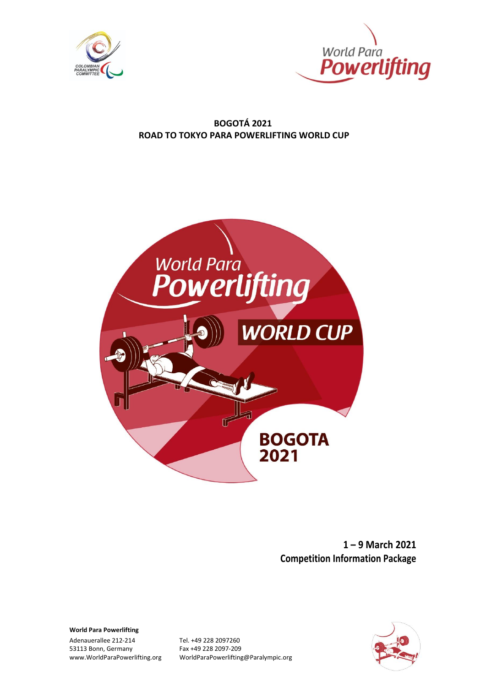



#### **BOGOTÁ 2021 ROAD TO TOKYO PARA POWERLIFTING WORLD CUP**



**1 – 9 March 2021 Competition Information Package**

<span id="page-0-0"></span>**World Para Powerlifting**

Adenauerallee 212-214 Tel. +49 228 2097260 53113 Bonn, Germany Fax +49 228 2097-209<br>www.WorldParaPowerlifting.org WorldParaPowerlifting

www.WorldParaPowerlifting.org WorldParaPowerlifting@Paralympic.org

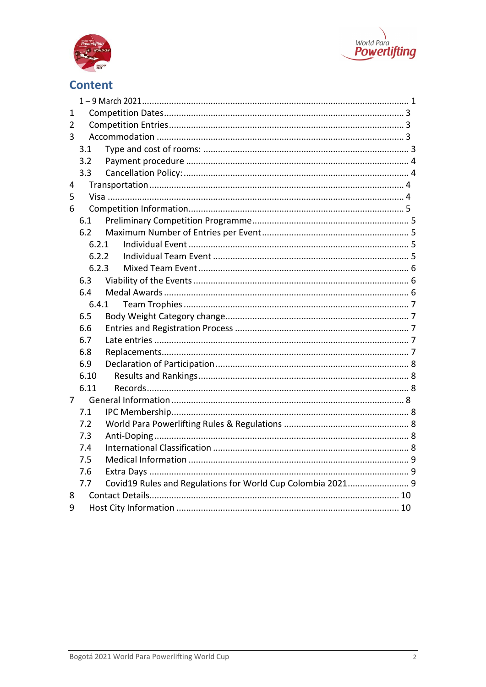



# **Content**

| 1 |       |                                                             |  |  |  |
|---|-------|-------------------------------------------------------------|--|--|--|
| 2 |       |                                                             |  |  |  |
| 3 |       |                                                             |  |  |  |
|   | 3.1   |                                                             |  |  |  |
|   | 3.2   |                                                             |  |  |  |
|   | 3.3   |                                                             |  |  |  |
| 4 |       |                                                             |  |  |  |
| 5 |       |                                                             |  |  |  |
| 6 |       |                                                             |  |  |  |
|   | 6.1   |                                                             |  |  |  |
|   | 6.2   |                                                             |  |  |  |
|   | 6.2.1 |                                                             |  |  |  |
|   | 6.2.2 |                                                             |  |  |  |
|   | 6.2.3 |                                                             |  |  |  |
|   | 6.3   |                                                             |  |  |  |
|   | 6.4   |                                                             |  |  |  |
|   | 6.4.1 |                                                             |  |  |  |
|   | 6.5   |                                                             |  |  |  |
|   | 6.6   |                                                             |  |  |  |
|   | 6.7   |                                                             |  |  |  |
|   | 6.8   |                                                             |  |  |  |
|   | 6.9   |                                                             |  |  |  |
|   | 6.10  |                                                             |  |  |  |
|   | 6.11  |                                                             |  |  |  |
| 7 |       |                                                             |  |  |  |
|   | 7.1   |                                                             |  |  |  |
|   | 7.2   |                                                             |  |  |  |
|   | 7.3   |                                                             |  |  |  |
|   | 7.4   |                                                             |  |  |  |
|   | 7.5   |                                                             |  |  |  |
|   | 7.6   |                                                             |  |  |  |
|   | 7.7   | Covid19 Rules and Regulations for World Cup Colombia 2021 9 |  |  |  |
| 8 |       |                                                             |  |  |  |
| 9 |       |                                                             |  |  |  |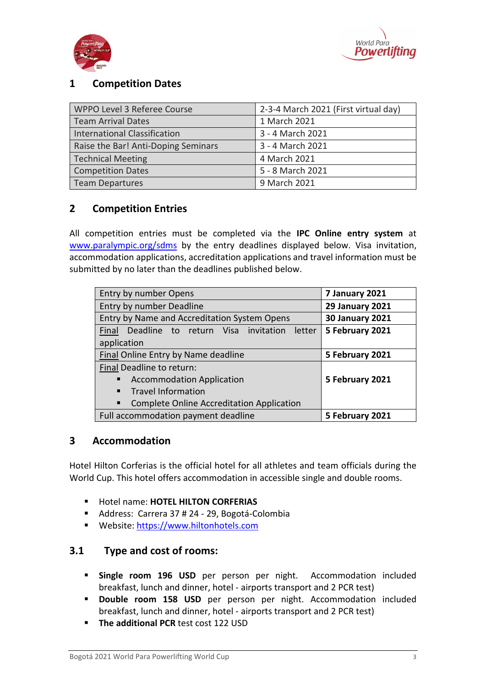



# <span id="page-2-0"></span>**1 Competition Dates**

| WPPO Level 3 Referee Course         | 2-3-4 March 2021 (First virtual day) |  |
|-------------------------------------|--------------------------------------|--|
| <b>Team Arrival Dates</b>           | 1 March 2021                         |  |
| <b>International Classification</b> | 3 - 4 March 2021                     |  |
| Raise the Bar! Anti-Doping Seminars | 3 - 4 March 2021                     |  |
| <b>Technical Meeting</b>            | 4 March 2021                         |  |
| <b>Competition Dates</b>            | 5 - 8 March 2021                     |  |
| <b>Team Departures</b>              | 9 March 2021                         |  |

### <span id="page-2-1"></span>**2 Competition Entries**

All competition entries must be completed via the **IPC Online entry system** at [www.paralympic.org/sdms](http://www.paralympic.org/sdms) by the entry deadlines displayed below. Visa invitation, accommodation applications, accreditation applications and travel information must be submitted by no later than the deadlines published below.

| Entry by number Opens                                 | 7 January 2021         |
|-------------------------------------------------------|------------------------|
| Entry by number Deadline                              | <b>29 January 2021</b> |
| Entry by Name and Accreditation System Opens          | <b>30 January 2021</b> |
| Final<br>Deadline to return Visa invitation<br>letter | 5 February 2021        |
| application                                           |                        |
| Final Online Entry by Name deadline                   | 5 February 2021        |
| Final Deadline to return:                             |                        |
| <b>Accommodation Application</b><br>٠                 | 5 February 2021        |
| <b>Travel Information</b><br>$\blacksquare$           |                        |
| Complete Online Accreditation Application<br>٠        |                        |
| Full accommodation payment deadline                   | 5 February 2021        |

#### <span id="page-2-2"></span>**3 Accommodation**

Hotel Hilton Corferias is the official hotel for all athletes and team officials during the World Cup. This hotel offers accommodation in accessible single and double rooms.

- Hotel name: **HOTEL HILTON CORFERIAS**
- Address: Carrera 37 # 24 29, Bogotá-Colombia
- Website: [https://www.hiltonhotels.com](https://www.hiltonhotels.com/)

### <span id="page-2-3"></span>**3.1 Type and cost of rooms:**

- **Single room 196 USD** per person per night. Accommodation included breakfast, lunch and dinner, hotel - airports transport and 2 PCR test)
- **Double room 158 USD** per person per night. Accommodation included breakfast, lunch and dinner, hotel - airports transport and 2 PCR test)
- **E** The additional PCR test cost 122 USD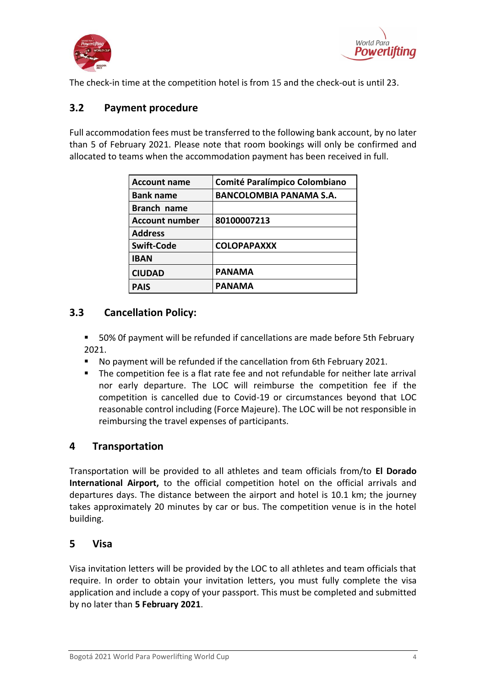



The check-in time at the competition hotel is from 15 and the check-out is until 23.

### <span id="page-3-0"></span>**3.2 Payment procedure**

Full accommodation fees must be transferred to the following bank account, by no later than 5 of February 2021. Please note that room bookings will only be confirmed and allocated to teams when the accommodation payment has been received in full.

| <b>Account name</b>   | <b>Comité Paralímpico Colombiano</b> |
|-----------------------|--------------------------------------|
| <b>Bank name</b>      | <b>BANCOLOMBIA PANAMA S.A.</b>       |
| <b>Branch name</b>    |                                      |
| <b>Account number</b> | 80100007213                          |
| <b>Address</b>        |                                      |
| <b>Swift-Code</b>     | <b>COLOPAPAXXX</b>                   |
| <b>IBAN</b>           |                                      |
| <b>CIUDAD</b>         | <b>PANAMA</b>                        |
| <b>PAIS</b>           | <b>PANAMA</b>                        |

### <span id="page-3-1"></span>**3.3 Cancellation Policy:**

- 50% Of payment will be refunded if cancellations are made before 5th February 2021.
- No payment will be refunded if the cancellation from 6th February 2021.
- The competition fee is a flat rate fee and not refundable for neither late arrival nor early departure. The LOC will reimburse the competition fee if the competition is cancelled due to Covid-19 or circumstances beyond that LOC reasonable control including (Force Majeure). The LOC will be not responsible in reimbursing the travel expenses of participants.

#### <span id="page-3-2"></span>**4 Transportation**

Transportation will be provided to all athletes and team officials from/to **El Dorado International Airport,** to the official competition hotel on the official arrivals and departures days. The distance between the airport and hotel is 10.1 km; the journey takes approximately 20 minutes by car or bus. The competition venue is in the hotel building.

#### <span id="page-3-3"></span>**5 Visa**

Visa invitation letters will be provided by the LOC to all athletes and team officials that require. In order to obtain your invitation letters, you must fully complete the visa application and include a copy of your passport. This must be completed and submitted by no later than **5 February 2021**.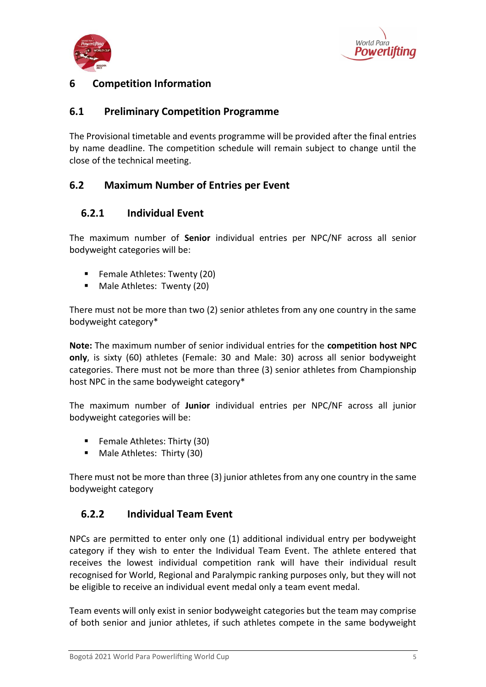



### <span id="page-4-0"></span>**6 Competition Information**

### <span id="page-4-1"></span>**6.1 Preliminary Competition Programme**

The Provisional timetable and events programme will be provided after the final entries by name deadline. The competition schedule will remain subject to change until the close of the technical meeting.

### <span id="page-4-2"></span>**6.2 Maximum Number of Entries per Event**

### <span id="page-4-3"></span>**6.2.1 Individual Event**

The maximum number of **Senior** individual entries per NPC/NF across all senior bodyweight categories will be:

- Female Athletes: Twenty (20)
- Male Athletes: Twenty (20)

There must not be more than two (2) senior athletes from any one country in the same bodyweight category\*

**Note:** The maximum number of senior individual entries for the **competition host NPC only**, is sixty (60) athletes (Female: 30 and Male: 30) across all senior bodyweight categories. There must not be more than three (3) senior athletes from Championship host NPC in the same bodyweight category\*

The maximum number of **Junior** individual entries per NPC/NF across all junior bodyweight categories will be:

- Female Athletes: Thirty (30)
- Male Athletes: Thirty (30)

There must not be more than three (3) junior athletes from any one country in the same bodyweight category

#### <span id="page-4-4"></span>**6.2.2 Individual Team Event**

NPCs are permitted to enter only one (1) additional individual entry per bodyweight category if they wish to enter the Individual Team Event. The athlete entered that receives the lowest individual competition rank will have their individual result recognised for World, Regional and Paralympic ranking purposes only, but they will not be eligible to receive an individual event medal only a team event medal.

Team events will only exist in senior bodyweight categories but the team may comprise of both senior and junior athletes, if such athletes compete in the same bodyweight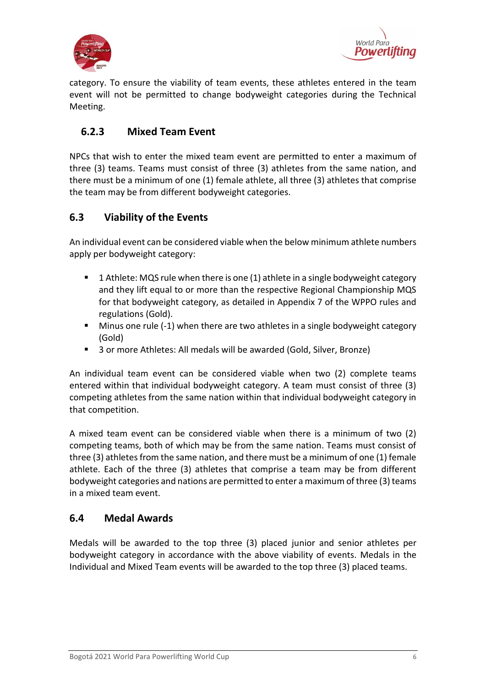



category. To ensure the viability of team events, these athletes entered in the team event will not be permitted to change bodyweight categories during the Technical Meeting.

### <span id="page-5-0"></span>**6.2.3 Mixed Team Event**

NPCs that wish to enter the mixed team event are permitted to enter a maximum of three (3) teams. Teams must consist of three (3) athletes from the same nation, and there must be a minimum of one (1) female athlete, all three (3) athletes that comprise the team may be from different bodyweight categories.

### <span id="page-5-1"></span>**6.3 Viability of the Events**

An individual event can be considered viable when the below minimum athlete numbers apply per bodyweight category:

- 1 Athlete: MQS rule when there is one (1) athlete in a single bodyweight category and they lift equal to or more than the respective Regional Championship MQS for that bodyweight category, as detailed in Appendix 7 of the WPPO rules and regulations (Gold).
- Minus one rule (-1) when there are two athletes in a single bodyweight category (Gold)
- 3 or more Athletes: All medals will be awarded (Gold, Silver, Bronze)

An individual team event can be considered viable when two (2) complete teams entered within that individual bodyweight category. A team must consist of three (3) competing athletes from the same nation within that individual bodyweight category in that competition.

A mixed team event can be considered viable when there is a minimum of two (2) competing teams, both of which may be from the same nation. Teams must consist of three (3) athletes from the same nation, and there must be a minimum of one (1) female athlete. Each of the three (3) athletes that comprise a team may be from different bodyweight categories and nations are permitted to enter a maximum of three (3) teams in a mixed team event.

### <span id="page-5-2"></span>**6.4 Medal Awards**

Medals will be awarded to the top three (3) placed junior and senior athletes per bodyweight category in accordance with the above viability of events. Medals in the Individual and Mixed Team events will be awarded to the top three (3) placed teams.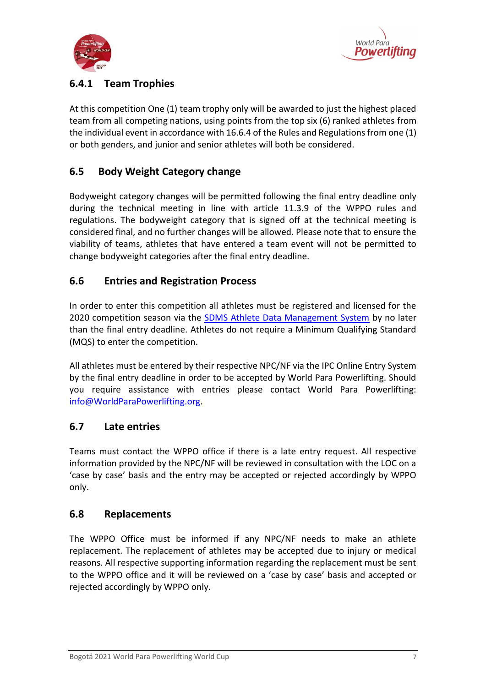



## <span id="page-6-0"></span>**6.4.1 Team Trophies**

At this competition One (1) team trophy only will be awarded to just the highest placed team from all competing nations, using points from the top six (6) ranked athletes from the individual event in accordance with 16.6.4 of the Rules and Regulations from one (1) or both genders, and junior and senior athletes will both be considered.

### <span id="page-6-1"></span>**6.5 Body Weight Category change**

Bodyweight category changes will be permitted following the final entry deadline only during the technical meeting in line with article 11.3.9 of the WPPO rules and regulations. The bodyweight category that is signed off at the technical meeting is considered final, and no further changes will be allowed. Please note that to ensure the viability of teams, athletes that have entered a team event will not be permitted to change bodyweight categories after the final entry deadline.

### <span id="page-6-2"></span>**6.6 Entries and Registration Process**

In order to enter this competition all athletes must be registered and licensed for the 2020 competition season via the [SDMS Athlete Data Management System](http://www.paralympic.org/sdms) by no later than the final entry deadline. Athletes do not require a Minimum Qualifying Standard (MQS) to enter the competition.

All athletes must be entered by their respective NPC/NF via the IPC Online Entry System by the final entry deadline in order to be accepted by World Para Powerlifting. Should you require assistance with entries please contact World Para Powerlifting: [info@WorldParaPowerlifting.org.](mailto:info@WorldParaPowerlifting.org)

#### <span id="page-6-3"></span>**6.7 Late entries**

Teams must contact the WPPO office if there is a late entry request. All respective information provided by the NPC/NF will be reviewed in consultation with the LOC on a 'case by case' basis and the entry may be accepted or rejected accordingly by WPPO only.

#### <span id="page-6-4"></span>**6.8 Replacements**

The WPPO Office must be informed if any NPC/NF needs to make an athlete replacement. The replacement of athletes may be accepted due to injury or medical reasons. All respective supporting information regarding the replacement must be sent to the WPPO office and it will be reviewed on a 'case by case' basis and accepted or rejected accordingly by WPPO only.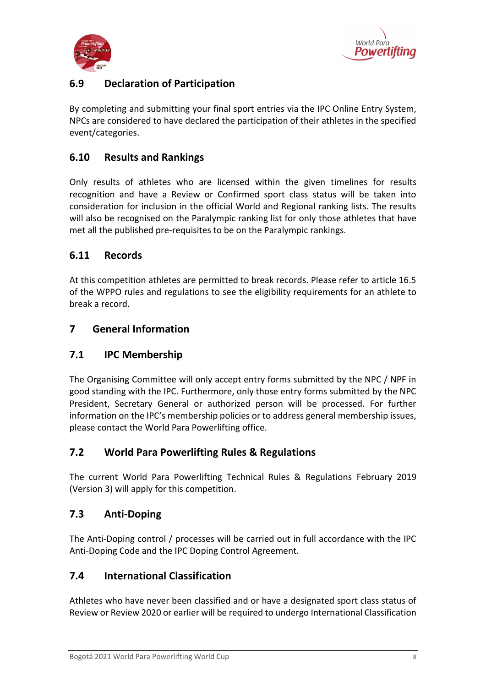



# <span id="page-7-0"></span>**6.9 Declaration of Participation**

By completing and submitting your final sport entries via the IPC Online Entry System, NPCs are considered to have declared the participation of their athletes in the specified event/categories.

### <span id="page-7-1"></span>**6.10 Results and Rankings**

Only results of athletes who are licensed within the given timelines for results recognition and have a Review or Confirmed sport class status will be taken into consideration for inclusion in the official World and Regional ranking lists. The results will also be recognised on the Paralympic ranking list for only those athletes that have met all the published pre-requisites to be on the Paralympic rankings.

### <span id="page-7-2"></span>**6.11 Records**

At this competition athletes are permitted to break records. Please refer to article 16.5 of the WPPO rules and regulations to see the eligibility requirements for an athlete to break a record.

### <span id="page-7-3"></span>**7 General Information**

#### <span id="page-7-4"></span>**7.1 IPC Membership**

The Organising Committee will only accept entry forms submitted by the NPC / NPF in good standing with the IPC. Furthermore, only those entry forms submitted by the NPC President, Secretary General or authorized person will be processed. For further information on the IPC's membership policies or to address general membership issues, please contact the World Para Powerlifting office.

#### <span id="page-7-5"></span>**7.2 World Para Powerlifting Rules & Regulations**

The current World Para Powerlifting Technical Rules & Regulations February 2019 (Version 3) will apply for this competition.

#### <span id="page-7-6"></span>**7.3 Anti-Doping**

The Anti-Doping control / processes will be carried out in full accordance with the IPC Anti-Doping Code and the IPC Doping Control Agreement.

#### <span id="page-7-7"></span>**7.4 International Classification**

Athletes who have never been classified and or have a designated sport class status of Review or Review 2020 or earlier will be required to undergo International Classification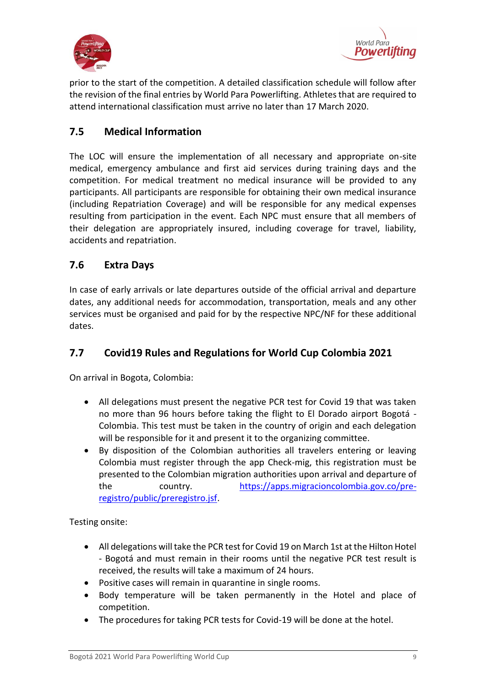



prior to the start of the competition. A detailed classification schedule will follow after the revision of the final entries by World Para Powerlifting. Athletes that are required to attend international classification must arrive no later than 17 March 2020.

### <span id="page-8-0"></span>**7.5 Medical Information**

The LOC will ensure the implementation of all necessary and appropriate on-site medical, emergency ambulance and first aid services during training days and the competition. For medical treatment no medical insurance will be provided to any participants. All participants are responsible for obtaining their own medical insurance (including Repatriation Coverage) and will be responsible for any medical expenses resulting from participation in the event. Each NPC must ensure that all members of their delegation are appropriately insured, including coverage for travel, liability, accidents and repatriation.

### <span id="page-8-1"></span>**7.6 Extra Days**

In case of early arrivals or late departures outside of the official arrival and departure dates, any additional needs for accommodation, transportation, meals and any other services must be organised and paid for by the respective NPC/NF for these additional dates.

### <span id="page-8-2"></span>**7.7 Covid19 Rules and Regulations for World Cup Colombia 2021**

On arrival in Bogota, Colombia:

- All delegations must present the negative PCR test for Covid 19 that was taken no more than 96 hours before taking the flight to El Dorado airport Bogotá - Colombia. This test must be taken in the country of origin and each delegation will be responsible for it and present it to the organizing committee.
- By disposition of the Colombian authorities all travelers entering or leaving Colombia must register through the app Check-mig, this registration must be presented to the Colombian migration authorities upon arrival and departure of the country. [https://apps.migracioncolombia.gov.co/pre](https://apps.migracioncolombia.gov.co/pre-registro/public/preregistro.jsf)[registro/public/preregistro.jsf.](https://apps.migracioncolombia.gov.co/pre-registro/public/preregistro.jsf)

Testing onsite:

- All delegations will take the PCR test for Covid 19 on March 1st at the Hilton Hotel - Bogotá and must remain in their rooms until the negative PCR test result is received, the results will take a maximum of 24 hours.
- Positive cases will remain in quarantine in single rooms.
- Body temperature will be taken permanently in the Hotel and place of competition.
- The procedures for taking PCR tests for Covid-19 will be done at the hotel.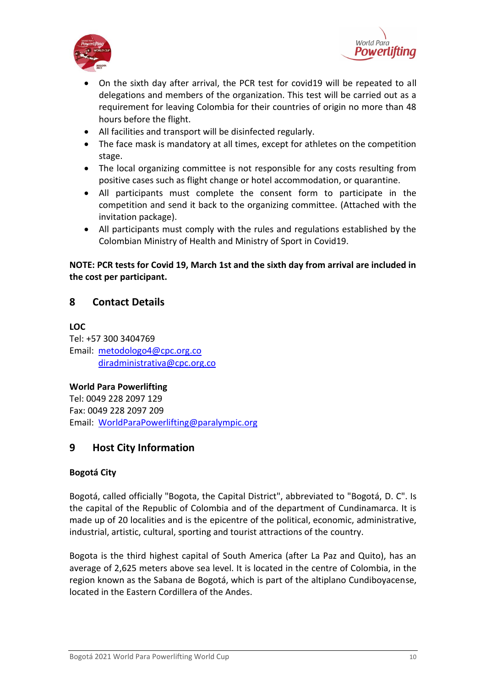



- On the sixth day after arrival, the PCR test for covid19 will be repeated to all delegations and members of the organization. This test will be carried out as a requirement for leaving Colombia for their countries of origin no more than 48 hours before the flight.
- All facilities and transport will be disinfected regularly.
- The face mask is mandatory at all times, except for athletes on the competition stage.
- The local organizing committee is not responsible for any costs resulting from positive cases such as flight change or hotel accommodation, or quarantine.
- All participants must complete the consent form to participate in the competition and send it back to the organizing committee. (Attached with the invitation package).
- All participants must comply with the rules and regulations established by the Colombian Ministry of Health and Ministry of Sport in Covid19.

#### **NOTE: PCR tests for Covid 19, March 1st and the sixth day from arrival are included in the cost per participant.**

### <span id="page-9-0"></span>**8 Contact Details**

**LOC**

Tel: +57 300 3404769 Email: [metodologo4@cpc.org.co](mailto:metodologo4@cpc.org.co) [diradministrativa@cpc.org.co](mailto:diradministrativa@cpc.org.co)

**World Para Powerlifting** Tel: 0049 228 2097 129 Fax: 0049 228 2097 209 Email: [WorldParaPowerlifting@paralympic.org](mailto:WorldParaPowerlifting@paralympic.org)

### <span id="page-9-1"></span>**9 Host City Information**

#### **Bogotá City**

Bogotá, called officially "Bogota, the Capital District", abbreviated to "Bogotá, D. C". Is the capital of the Republic of Colombia and of the department of Cundinamarca. It is made up of 20 localities and is the epicentre of the political, economic, administrative, industrial, artistic, cultural, sporting and tourist attractions of the country.

Bogota is the third highest capital of South America (after La Paz and Quito), has an average of 2,625 meters above sea level. It is located in the centre of Colombia, in the region known as the Sabana de Bogotá, which is part of the altiplano Cundiboyacense, located in the Eastern Cordillera of the Andes.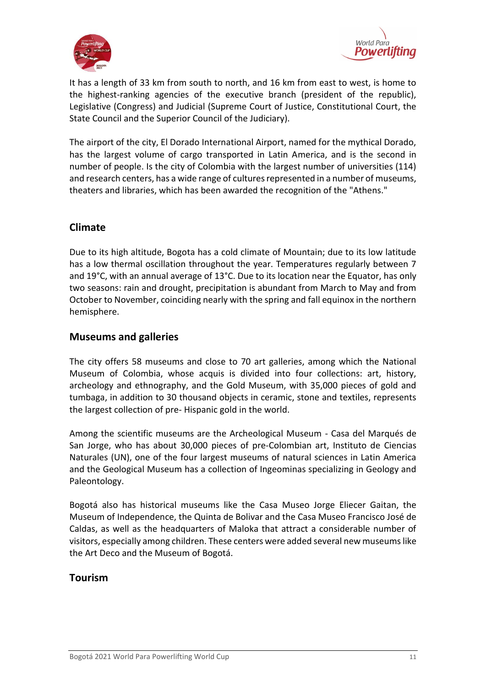



It has a length of 33 km from south to north, and 16 km from east to west, is home to the highest-ranking agencies of the executive branch (president of the republic), Legislative (Congress) and Judicial (Supreme Court of Justice, Constitutional Court, the State Council and the Superior Council of the Judiciary).

The airport of the city, El Dorado International Airport, named for the mythical Dorado, has the largest volume of cargo transported in Latin America, and is the second in number of people. Is the city of Colombia with the largest number of universities (114) and research centers, has a wide range of cultures represented in a number of museums, theaters and libraries, which has been awarded the recognition of the "Athens."

### **Climate**

Due to its high altitude, Bogota has a cold climate of Mountain; due to its low latitude has a low thermal oscillation throughout the year. Temperatures regularly between 7 and 19°C, with an annual average of 13°C. Due to its location near the Equator, has only two seasons: rain and drought, precipitation is abundant from March to May and from October to November, coinciding nearly with the spring and fall equinox in the northern hemisphere.

#### **Museums and galleries**

The city offers 58 museums and close to 70 art galleries, among which the National Museum of Colombia, whose acquis is divided into four collections: art, history, archeology and ethnography, and the Gold Museum, with 35,000 pieces of gold and tumbaga, in addition to 30 thousand objects in ceramic, stone and textiles, represents the largest collection of pre- Hispanic gold in the world.

Among the scientific museums are the Archeological Museum - Casa del Marqués de San Jorge, who has about 30,000 pieces of pre-Colombian art, Instituto de Ciencias Naturales (UN), one of the four largest museums of natural sciences in Latin America and the Geological Museum has a collection of Ingeominas specializing in Geology and Paleontology.

Bogotá also has historical museums like the Casa Museo Jorge Eliecer Gaitan, the Museum of Independence, the Quinta de Bolivar and the Casa Museo Francisco José de Caldas, as well as the headquarters of Maloka that attract a considerable number of visitors, especially among children. These centers were added several new museums like the Art Deco and the Museum of Bogotá.

#### **Tourism**